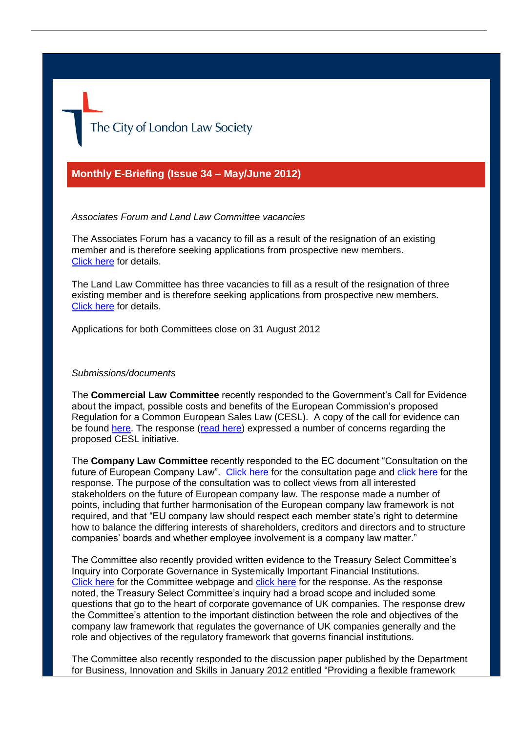The City of London Law Society

# **Monthly E-Briefing (Issue 34 – May/June 2012)**

### *Associates Forum and Land Law Committee vacancies*

The Associates Forum has a vacancy to fill as a result of the resignation of an existing member and is therefore seeking applications from prospective new members. [Click here](http://www.citysolicitors.org.uk/FileServer.aspx?oID=1220&lID=0) for details.

The Land Law Committee has three vacancies to fill as a result of the resignation of three existing member and is therefore seeking applications from prospective new members. [Click here](http://www.citysolicitors.org.uk/FileServer.aspx?oID=1218&lID=0) for details.

Applications for both Committees close on 31 August 2012

#### *Submissions/documents*

The **Commercial Law Committee** recently responded to the Government's Call for Evidence about the impact, possible costs and benefits of the European Commission's proposed Regulation for a Common European Sales Law (CESL). A copy of the call for evidence can be found [here.](http://www.justice.gov.uk/downloads/consultations/contract-law-call-evidence.pdf) The response [\(read here\)](http://www.citysolicitors.org.uk/FileServer.aspx?oID=1195&lID=0) expressed a number of concerns regarding the proposed CESL initiative.

The **Company Law Committee** recently responded to the EC document "Consultation on the future of European Company Law".[Click here](http://ec.europa.eu/internal_market/consultations/2012/company_law_en.htm) for the consultation page and [click here](http://www.citysolicitors.org.uk/FileServer.aspx?oID=1186&lID=0) for the response. The purpose of the consultation was to collect views from all interested stakeholders on the future of European company law. The response made a number of points, including that further harmonisation of the European company law framework is not required, and that "EU company law should respect each member state's right to determine how to balance the differing interests of shareholders, creditors and directors and to structure companies' boards and whether employee involvement is a company law matter."

The Committee also recently provided written evidence to the Treasury Select Committee's Inquiry into Corporate Governance in Systemically Important Financial Institutions. [Click here](http://www.parliament.uk/business/committees/committees-a-z/commons-select/treasury-committee/news/treasury-committee-announces-terms-of-reference-for-corporate-governance-and-remuneration-inquiry/) for the Committee webpage and [click here](http://www.citysolicitors.org.uk/FileServer.aspx?oID=1192&lID=0) for the response. As the response noted, the Treasury Select Committee's inquiry had a broad scope and included some questions that go to the heart of corporate governance of UK companies. The response drew the Committee's attention to the important distinction between the role and objectives of the company law framework that regulates the governance of UK companies generally and the role and objectives of the regulatory framework that governs financial institutions.

The Committee also recently responded to the discussion paper published by the Department for Business, Innovation and Skills in January 2012 entitled "Providing a flexible framework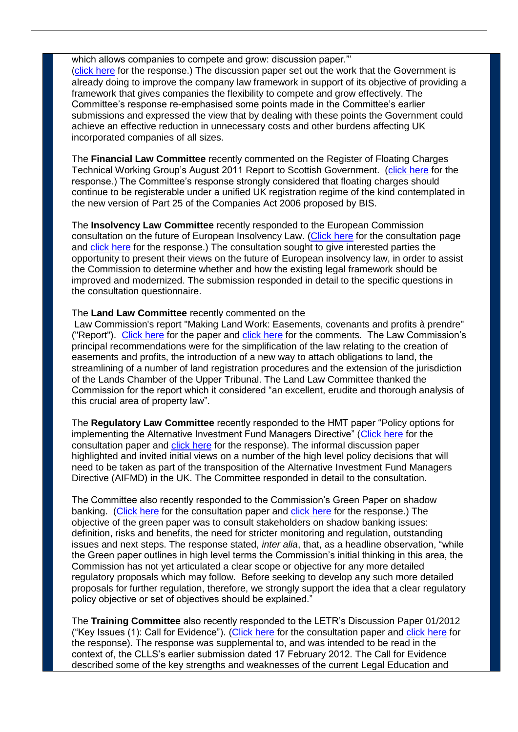which allows companies to compete and grow: discussion paper." ([click here](http://www.citysolicitors.org.uk/FileServer.aspx?oID=1210&lID=0) for the response.) The discussion paper set out the work that the Government is already doing to improve the company law framework in support of its objective of providing a framework that gives companies the flexibility to compete and grow effectively. The Committee's response re-emphasised some points made in the Committee's earlier submissions and expressed the view that by dealing with these points the Government could achieve an effective reduction in unnecessary costs and other burdens affecting UK incorporated companies of all sizes.

The **Financial Law Committee** recently commented on the Register of Floating Charges Technical Working Group's August 2011 Report to Scottish Government. [\(click here](http://www.citysolicitors.org.uk/FileServer.aspx?oID=1209&lID=0) for the response.) The Committee's response strongly considered that floating charges should continue to be registerable under a unified UK registration regime of the kind contemplated in the new version of Part 25 of the Companies Act 2006 proposed by BIS.

The **Insolvency Law Committee** recently responded to the European Commission consultation on the future of European Insolvency Law. [\(Click here](http://ec.europa.eu/justice/newsroom/civil/opinion/120326_en.htm) for the consultation page and [click here](http://www.citysolicitors.org.uk/FileServer.aspx?oID=1205&lID=0) for the response.) The consultation sought to give interested parties the opportunity to present their views on the future of European insolvency law, in order to assist the Commission to determine whether and how the existing legal framework should be improved and modernized. The submission responded in detail to the specific questions in the consultation questionnaire.

## The **Land Law Committee** recently commented on the

Law Commission's report "Making Land Work: Easements, covenants and profits à prendre" ("Report"). [Click here](http://lawcommission.justice.gov.uk/docs/lc327_easements_summary.pdf) for the paper and [click here](http://www.citysolicitors.org.uk/FileServer.aspx?oID=1199&lID=0) for the comments. The Law Commission's principal recommendations were for the simplification of the law relating to the creation of easements and profits, the introduction of a new way to attach obligations to land, the streamlining of a number of land registration procedures and the extension of the jurisdiction of the Lands Chamber of the Upper Tribunal. The Land Law Committee thanked the Commission for the report which it considered "an excellent, erudite and thorough analysis of this crucial area of property law".

The **Regulatory Law Committee** recently responded to the HMT paper "Policy options for implementing the Alternative Investment Fund Managers Directive" [\(Click here](http://www.hm-treasury.gov.uk/consult_policy_options_implement_aifmd.htm) for the consultation paper and [click here](http://www.citysolicitors.org.uk/FileServer.aspx?oID=1183&lID=0) for the response). The informal discussion paper highlighted and invited initial views on a number of the high level policy decisions that will need to be taken as part of the transposition of the Alternative Investment Fund Managers Directive (AIFMD) in the UK. The Committee responded in detail to the consultation.

The Committee also recently responded to the Commission's Green Paper on shadow banking. [\(Click here](http://ec.europa.eu/internal_market/consultations/2012/shadow_en.htm) for the consultation paper and [click here](http://www.citysolicitors.org.uk/FileServer.aspx?oID=1193&lID=0) for the response.) The objective of the green paper was to consult stakeholders on shadow banking issues: definition, risks and benefits, the need for stricter monitoring and regulation, outstanding issues and next steps. The response stated, *inter alia*, that, as a headline observation, "while the Green paper outlines in high level terms the Commission's initial thinking in this area, the Commission has not yet articulated a clear scope or objective for any more detailed regulatory proposals which may follow. Before seeking to develop any such more detailed proposals for further regulation, therefore, we strongly support the idea that a clear regulatory policy objective or set of objectives should be explained."

The **Training Committee** also recently responded to the LETR's Discussion Paper 01/2012 ("Key Issues (1): Call for Evidence"). [\(Click here](http://letr.org.uk/wp-content/uploads/2012/03/Discussion-Paper-012012.pdf) for the consultation paper and [click here](http://www.citysolicitors.org.uk/FileServer.aspx?oID=1175&lID=0) for the response). The response was supplemental to, and was intended to be read in the context of, the CLLS's earlier submission dated 17 February 2012. The Call for Evidence described some of the key strengths and weaknesses of the current Legal Education and